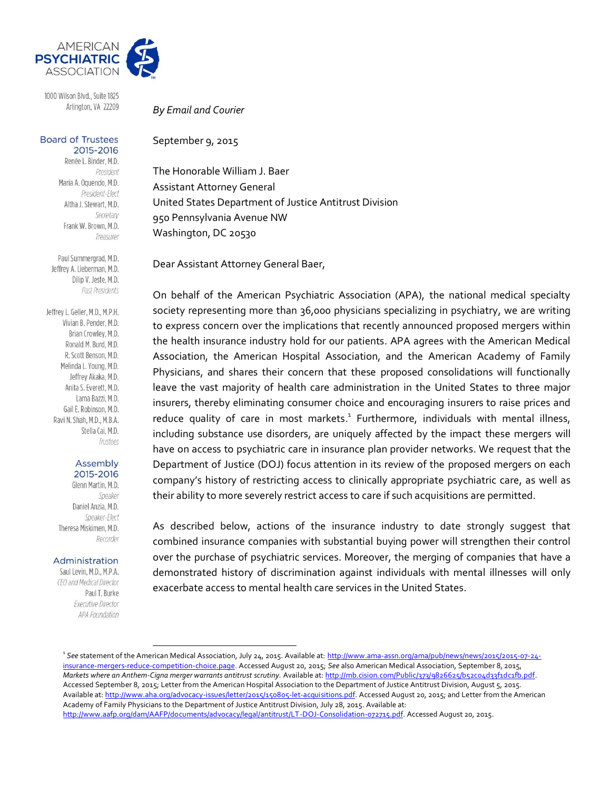

1000 Wilson Blvd., Suite 1825 Arlington, VA 22209

#### **Board of Trustees** 2015-2016

Renée L. Binder, M.D. President Maria A. Oquendo, M.D. President-Elect Altha J. Stewart, M.D. Secretary Frank W. Brown, M.D. Treasurer

Paul Summergrad, M.D. Jeffrey A. Lieberman, M.D. Dilip V. Jeste, M.D. Past Presidents

Jeffrey L. Geller, M.D., M.P.H. Vivian B. Pender, M.D. Brian Crowley, M.D. Ronald M. Burd, M.D. R. Scott Benson, M.D. Melinda L. Young, M.D. Jeffrey Akaka, M.D. Anita S. Everett, M.D. Lama Bazzi, M.D. Gail E. Robinson, M.D. Ravi N. Shah, M.D., M.B.A. Stella Cai, M.D. Trustees

#### Assembly 2015-2016

Glenn Martin, M.D. Speaker Daniel Anzia, M.D. Speaker-Elect Theresa Miskimen, M.D. Recorder

#### Administration

Saul Levin, M.D., M.P.A. CEO and Medical Director Paul T. Burke **Executive Director** APA Foundation

*By Email and Courier*

September 9, 2015

The Honorable William J. Baer Assistant Attorney General United States Department of Justice Antitrust Division 950 Pennsylvania Avenue NW Washington, DC 20530

Dear Assistant Attorney General Baer,

On behalf of the American Psychiatric Association (APA), the national medical specialty society representing more than 36,000 physicians specializing in psychiatry, we are writing to express concern over the implications that recently announced proposed mergers within the health insurance industry hold for our patients. APA agrees with the American Medical Association, the American Hospital Association, and the American Academy of Family Physicians, and shares their concern that these proposed consolidations will functionally leave the vast majority of health care administration in the United States to three major insurers, thereby eliminating consumer choice and encouraging insurers to raise prices and reduce quality of care in most markets.<sup>1</sup> Furthermore, individuals with mental illness, including substance use disorders, are uniquely affected by the impact these mergers will have on access to psychiatric care in insurance plan provider networks. We request that the Department of Justice (DOJ) focus attention in its review of the proposed mergers on each company's history of restricting access to clinically appropriate psychiatric care, as well as their ability to more severely restrict access to care if such acquisitions are permitted.

As described below, actions of the insurance industry to date strongly suggest that combined insurance companies with substantial buying power will strengthen their control over the purchase of psychiatric services. Moreover, the merging of companies that have a demonstrated history of discrimination against individuals with mental illnesses will only exacerbate access to mental health care services in the United States.

<sup>&</sup>lt;sup>1</sup> See statement of the American Medical Association, July 24, 2015. Available at: <u>http://www.ama-assn.org/ama/pub/news/news/2015/2015-07-24-</u> [insurance-mergers-reduce-competition-choice.page.](http://www.ama-assn.org/ama/pub/news/news/2015/2015-07-24-insurance-mergers-reduce-competition-choice.page) Accessed August 20, 2015; *See* also American Medical Association, September 8, 2015, Markets where an Anthem-Cigna merger warrants antitrust scrutiny. Available at: http://mb.cision.com/Public/373/9826625/b52c04d33f1dc1fb.pdf. Accessed September 8, 2015; Letter from the American Hospital Association to the Department of Justice Antitrust Division, August 5, 2015. Available at[: http://www.aha.org/advocacy-issues/letter/2015/150805-let-acquisitions.pdf.](http://www.aha.org/advocacy-issues/letter/2015/150805-let-acquisitions.pdf) Accessed August 20, 2015; and Letter from the American Academy of Family Physicians to the Department of Justice Antitrust Division, July 28, 2015. Available at: [http://www.aafp.org/dam/AAFP/documents/advocacy/legal/antitrust/LT-DOJ-Consolidation-072715.pdf.](http://www.aafp.org/dam/AAFP/documents/advocacy/legal/antitrust/LT-DOJ-Consolidation-072715.pdf) Accessed August 20, 2015.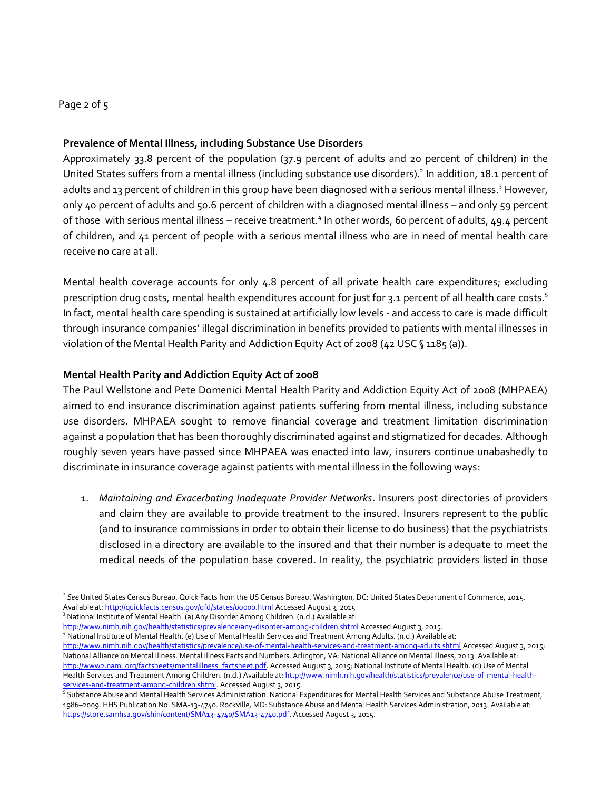## Page 2 of 5

### **Prevalence of Mental Illness, including Substance Use Disorders**

Approximately 33.8 percent of the population (37.9 percent of adults and 20 percent of children) in the United States suffers from a mental illness (including substance use disorders).<sup>2</sup> In addition, 18.1 percent of adults and 13 percent of children in this group have been diagnosed with a serious mental illness.<sup>3</sup> However, only 40 percent of adults and 50.6 percent of children with a diagnosed mental illness – and only 59 percent of those with serious mental illness - receive treatment.<sup>4</sup> In other words, 60 percent of adults, 49.4 percent of children, and 41 percent of people with a serious mental illness who are in need of mental health care receive no care at all.

Mental health coverage accounts for only 4.8 percent of all private health care expenditures; excluding prescription drug costs, mental health expenditures account for just for 3.1 percent of all health care costs.<sup>5</sup> In fact, mental health care spending is sustained at artificially low levels - and access to care is made difficult through insurance companies' illegal discrimination in benefits provided to patients with mental illnesses in violation of the Mental Health Parity and Addiction Equity Act of 2008 (42 USC § 1185 (a)).

## **Mental Health Parity and Addiction Equity Act of 2008**

The Paul Wellstone and Pete Domenici Mental Health Parity and Addiction Equity Act of 2008 (MHPAEA) aimed to end insurance discrimination against patients suffering from mental illness, including substance use disorders. MHPAEA sought to remove financial coverage and treatment limitation discrimination against a population that has been thoroughly discriminated against and stigmatized for decades. Although roughly seven years have passed since MHPAEA was enacted into law, insurers continue unabashedly to discriminate in insurance coverage against patients with mental illness in the following ways:

1. *Maintaining and Exacerbating Inadequate Provider Networks*. Insurers post directories of providers and claim they are available to provide treatment to the insured. Insurers represent to the public (and to insurance commissions in order to obtain their license to do business) that the psychiatrists disclosed in a directory are available to the insured and that their number is adequate to meet the medical needs of the population base covered. In reality, the psychiatric providers listed in those

 $\overline{a}$ 

<http://www.nimh.nih.gov/health/statistics/prevalence/any-disorder-among-children.shtml> Accessed August 3, 2015. <sup>4</sup> National Institute of Mental Health. (e) Use of Mental Health Services and Treatment Among Adults. (n.d.) Available at:

<sup>&</sup>lt;sup>2</sup> See United States Census Bureau. Quick Facts from the US Census Bureau. Washington, DC: United States Department of Commerce, 2015. Available at[: http://quickfacts.census.gov/qfd/states/00000.html](http://quickfacts.census.gov/qfd/states/00000.html) Accessed August 3, 2015

<sup>&</sup>lt;sup>3</sup> National Institute of Mental Health. (a) Any Disorder Among Children. (n.d.) Available at:

<http://www.nimh.nih.gov/health/statistics/prevalence/use-of-mental-health-services-and-treatment-among-adults.shtml> Accessed August 3, 2015; National Alliance on Mental Illness. Mental Illness Facts and Numbers. Arlington, VA: National Alliance on Mental Illness, 2013. Available at: [http://www2.nami.org/factsheets/mentalillness\\_factsheet.pdf.](http://www2.nami.org/factsheets/mentalillness_factsheet.pdf) Accessed August 3, 2015; National Institute of Mental Health. (d) Use of Mental Health Services and Treatment Among Children. (n.d.) Available at[: http://www.nimh.nih.gov/health/statistics/prevalence/use-of-mental-health](http://www.nimh.nih.gov/health/statistics/prevalence/use-of-mental-health-services-and-treatment-among-children.shtml)[services-and-treatment-among-children.shtml.](http://www.nimh.nih.gov/health/statistics/prevalence/use-of-mental-health-services-and-treatment-among-children.shtml) Accessed August 3, 2015.

<sup>&</sup>lt;sup>5</sup> Substance Abuse and Mental Health Services Administration. National Expenditures for Mental Health Services and Substance Abuse Treatment, 1986–2009. HHS Publication No. SMA-13-4740. Rockville, MD: Substance Abuse and Mental Health Services Administration, 2013. Available at: [https://store.samhsa.gov/shin/content/SMA13-4740/SMA13-4740.pdf.](https://store.samhsa.gov/shin/content/SMA13-4740/SMA13-4740.pdf) Accessed August 3, 2015.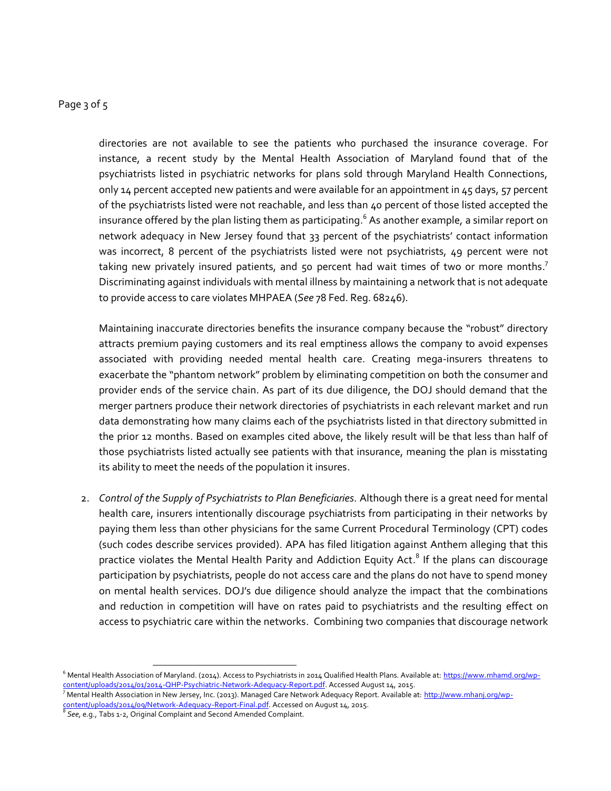# Page 3 of 5

directories are not available to see the patients who purchased the insurance coverage. For instance, a recent study by the Mental Health Association of Maryland found that of the psychiatrists listed in psychiatric networks for plans sold through Maryland Health Connections, only 14 percent accepted new patients and were available for an appointment in  $45$  days,  $57$  percent of the psychiatrists listed were not reachable, and less than 40 percent of those listed accepted the insurance offered by the plan listing them as participating. $^{\rm 6}$  As another example, a similar report on network adequacy in New Jersey found that 33 percent of the psychiatrists' contact information was incorrect, 8 percent of the psychiatrists listed were not psychiatrists, 49 percent were not taking new privately insured patients, and 50 percent had wait times of two or more months.<sup>7</sup> Discriminating against individuals with mental illness by maintaining a network that is not adequate to provide access to care violates MHPAEA (*See* 78 Fed. Reg. 68246).

Maintaining inaccurate directories benefits the insurance company because the "robust" directory attracts premium paying customers and its real emptiness allows the company to avoid expenses associated with providing needed mental health care. Creating mega-insurers threatens to exacerbate the "phantom network" problem by eliminating competition on both the consumer and provider ends of the service chain. As part of its due diligence, the DOJ should demand that the merger partners produce their network directories of psychiatrists in each relevant market and run data demonstrating how many claims each of the psychiatrists listed in that directory submitted in the prior 12 months. Based on examples cited above, the likely result will be that less than half of those psychiatrists listed actually see patients with that insurance, meaning the plan is misstating its ability to meet the needs of the population it insures.

2. *Control of the Supply of Psychiatrists to Plan Beneficiaries.* Although there is a great need for mental health care, insurers intentionally discourage psychiatrists from participating in their networks by paying them less than other physicians for the same Current Procedural Terminology (CPT) codes (such codes describe services provided). APA has filed litigation against Anthem alleging that this practice violates the Mental Health Parity and Addiction Equity Act.<sup>8</sup> If the plans can discourage participation by psychiatrists, people do not access care and the plans do not have to spend money on mental health services. DOJ's due diligence should analyze the impact that the combinations and reduction in competition will have on rates paid to psychiatrists and the resulting effect on access to psychiatric care within the networks. Combining two companies that discourage network

 $\overline{a}$ 

<sup>&</sup>lt;sup>6</sup> Mental Health Association of Maryland. (2014). Access to Psychiatrists in 2014 Qualified Health Plans. Available at[: https://www.mhamd.org/wp](https://www.mhamd.org/wp-content/uploads/2014/01/2014-QHP-Psychiatric-Network-Adequacy-Report.pdf)[content/uploads/2014/01/2014-QHP-Psychiatric-Network-Adequacy-Report.pdf.](https://www.mhamd.org/wp-content/uploads/2014/01/2014-QHP-Psychiatric-Network-Adequacy-Report.pdf) Accessed August 14, 2015.

<sup>&</sup>lt;sup>7</sup> Mental Health Association in New Jersey, Inc. (2013). Managed Care Network Adequacy Report. Available at: <u>http://www.mhanj.org/wp-</u> [content/uploads/2014/09/Network-Adequacy-Report-Final.pdf.](http://www.mhanj.org/wp-content/uploads/2014/09/Network-Adequacy-Report-Final.pdf) Accessed on August 14, 2015.

<sup>8</sup> *See*, e.g., Tabs 1-2, Original Complaint and Second Amended Complaint.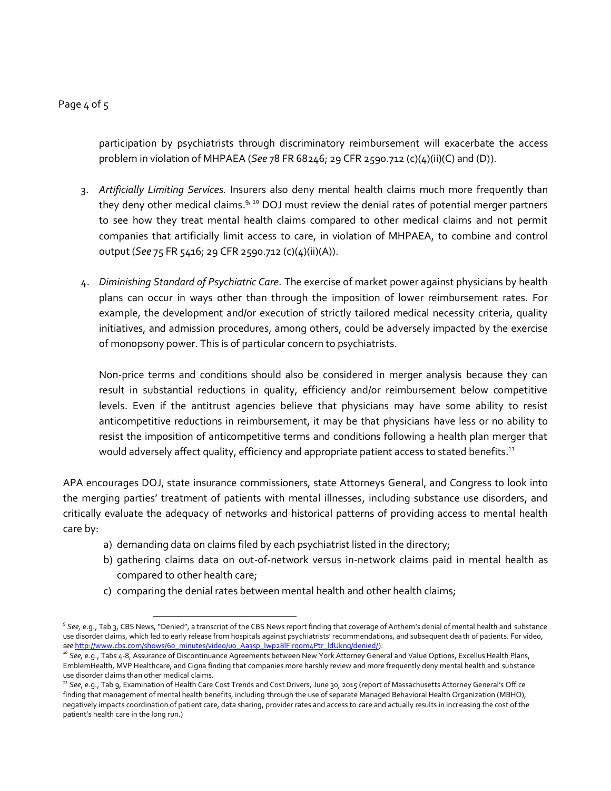## Page 4 of 5

participation by psychiatrists through discriminatory reimbursement will exacerbate the access problem in violation of MHPAEA (*See* 78 FR 68246; 29 CFR 2590.712 (c)(4)(ii)(C) and (D)).

- 3. *Artificially Limiting Services.* Insurers also deny mental health claims much more frequently than they deny other medical claims.<sup>9, 10</sup> DOJ must review the denial rates of potential merger partners to see how they treat mental health claims compared to other medical claims and not permit companies that artificially limit access to care, in violation of MHPAEA, to combine and control output (*See* 75 FR 5416; 29 CFR 2590.712 (c)(4)(ii)(A)).
- 4. *Diminishing Standard of Psychiatric Care.* The exercise of market power against physicians by health plans can occur in ways other than through the imposition of lower reimbursement rates. For example, the development and/or execution of strictly tailored medical necessity criteria, quality initiatives, and admission procedures, among others, could be adversely impacted by the exercise of monopsony power. This is of particular concern to psychiatrists.

Non-price terms and conditions should also be considered in merger analysis because they can result in substantial reductions in quality, efficiency and/or reimbursement below competitive levels. Even if the antitrust agencies believe that physicians may have some ability to resist anticompetitive reductions in reimbursement, it may be that physicians have less or no ability to resist the imposition of anticompetitive terms and conditions following a health plan merger that would adversely affect quality, efficiency and appropriate patient access to stated benefits.<sup>11</sup>

APA encourages DOJ, state insurance commissioners, state Attorneys General, and Congress to look into the merging parties' treatment of patients with mental illnesses, including substance use disorders, and critically evaluate the adequacy of networks and historical patterns of providing access to mental health care by:

- a) demanding data on claims filed by each psychiatrist listed in the directory;
- b) gathering claims data on out-of-network versus in-network claims paid in mental health as compared to other health care;
- c) comparing the denial rates between mental health and other health claims;

<sup>9</sup> *See,* e.g., Tab 3, CBS News, "Denied", a transcript of the CBS News report finding that coverage of Anthem's denial of mental health and substance use disorder claims, which led to early release from hospitals against psychiatrists' recommendations, and subsequent dea th of patients. For video, *see* [http://www.cbs.com/shows/60\\_minutes/video/u0\\_Aa3sp\\_lwp28lFirqom4Ptr\\_ldUknq/denied/\).](http://www.cbs.com/shows/60_minutes/video/u0_Aa3sp_lwp28lFirqom4Ptr_ldUknq/denied/)

<sup>&</sup>lt;sup>10</sup> See, e.g., Tabs 4-8, Assurance of Discontinuance Agreements between New York Attorney General and Value Options, Excellus Health Plans, EmblemHealth, MVP Healthcare, and Cigna finding that companies more harshly review and more frequently deny mental health and substance use disorder claims than other medical claims.

*<sup>11</sup> See*, e.g., Tab 9, Examination of Health Care Cost Trends and Cost Drivers, June 30, 2015 (report of Massachusetts Attorney General's Office finding that management of mental health benefits, including through the use of separate Managed Behavioral Health Organization (MBHO), negatively impacts coordination of patient care, data sharing, provider rates and access to care and actually results in increasing the cost of the patient's health care in the long run.)